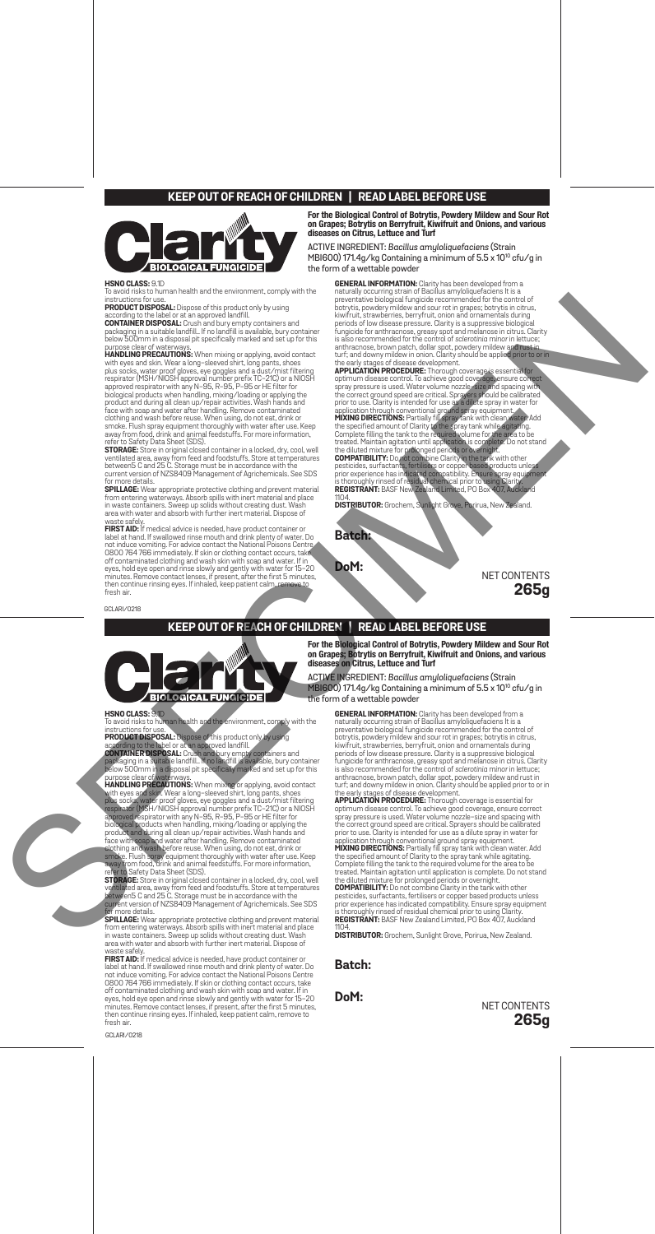### **KEEP OUT OF REACH OF CHILDREN | READ LABEL BEFORE USE**



**HSNO CLASS:** 9.1D<br>To avoid risks to human health and the environment, comply with the

## **For the Biological Control of Botrytis, Powdery Mildew and Sour Rot on Grapes; Botrytis on Berryfruit, Kiwifruit and Onions, and various diseases on Citrus, Lettuce and Turf** ACTIVE INGREDIENT: *Bacillus amyloliquefaciens* (Strain

MBI600) 171.4g/kg Containing a minimum of 5.5 x 10<sup>10</sup> cfu/g in the form of a wettable powder

# instructions for use.<br>**PRODUCT DISPOSAL:** Dispose of this product only by using<br>**according to the label or at an approved landfill.**<br>**CONTAINER DISPOSAL:** Crush and bury empty containers and<br>packaging in a suitable landfil **GENERAL IMFORMATION:** Clarity has been developed from a<br>naturally occurring strain of Bacillus amyloliquefaciens It is a<br>preventative biological fungicide recommended for the control of<br>potrytis, powdery mildew and sour r

purpose clear of waterways.<br>
HANDLING PRECAUTIONS: When mixing or applying, avoid contact<br>
with eyes and skin. Wear a long-sleeved shirt, long pants, shoes<br>
glus socks, water proof gloves, eye goggles and a dust/mist filte

**SPILLAGE:** Wear appropriate protective clothing and prevent material<br>from entering waterways. Absorb spills with inert material and place<br>in waste containers. Sweep up solids without creating dust. Wash<br>area with water an

waste safely.<br>FIRST AID: If medical advice is needed, have product container or<br>label at hand. If swallowed rinse mouth and drink plenty of water. Do<br>not induce vomiting. For advice contact the National Poisons Centre<br>0800

the early stages of disease development.<br>**APPLICATION PROCEDURE:** Thorough coverage is

APPLICATION PROCEDURE: Thorough coverage is essential to<br>experiment disease control. To achieve good coverage ensure correct<br>spray pressure is used. Water volume nozzle-state and spacing with<br>the correct ground speed are c

prior experience has indicated compatibility. Ensure distribution of the diluted mixture for prolonged periods or overhight.<br>
COMPATIBILITY: Do not compatibility. Ensure spray equipments are also included compatibility. En is thoroughly rinsed of residual chemical prior to using Clarity.<br>**REGISTRANT:** BASF New Zealand Limited, PO Box 407, Auckland<br>1104.

**DISTRIBUTOR:** Grochem, Sunlight Grove, Porirua, New Zealand.

**Batch:**

**DoM:**

NET CONTENTS **265g**

GCLARI/0218

#### **KEEP OUT OF REACH OF CHILDREN | READ LABEL BEFORE USE**



To avoid risks to human health and the environment, comply with the<br>Instructions for use.<br>**PRODUCT DISPOSAL:** Dispose of this product only by using<br>according to the label or at an approved landfill.<br>CONTAINER DISPOSAL: Cru

purpose clear of waterways.<br>HANDLING PRECAUTIONS: When mixing or applying, avoid contact<br>with eyes and skin. Wear a long-sleeved shirt, long pants, shoes<br>phb socks water proof gloves, eye goggles and a dust/misifiltering<br>r

**SPILLAGE:** Wear appropriate protective clothing and prevent material<br>from entering waterways. Absorb spills with inert material and place<br>in waste containers. Sweep up solids without creating dust. Wash<br>area with water an

waste safely.<br>FIRST AID: If medical advice is needed, have product container or<br>label at hand. If swallowed rinse mouth and drink plenty of water. Do<br>not induce vomiting. For advice contact the National Poisons Centre<br>0800

GCLARI/0218

**For the Biological Control of Botrytis, Powdery Mildew and Sour Rot on Grapes; Botrytis on Berryfruit, Kiwifruit and Onions, and various diseases on Citrus, Lettuce and Turf**

ACTIVE INGREDIENT: *Bacillus amyloliquefaciens* (Strain MBI600) 171.4g/kg Containing a minimum of 5.5 x 1010 cfu/g in the form of a wettable powder

**GENERAL INFORMATION:** Clarity has been developed from a naturally occurring strain of Bacillus amylolique<br>facents it is a preventative biological fungicide recommended for the control of<br>potytis, powdery mildeva and sour **Claricy** 

**DISTRIBUTOR:** Grochem, Sunlight Grove, Porirua, New Zealand.

#### **Batch:**

**DoM:**

NET CONTENTS **265g**